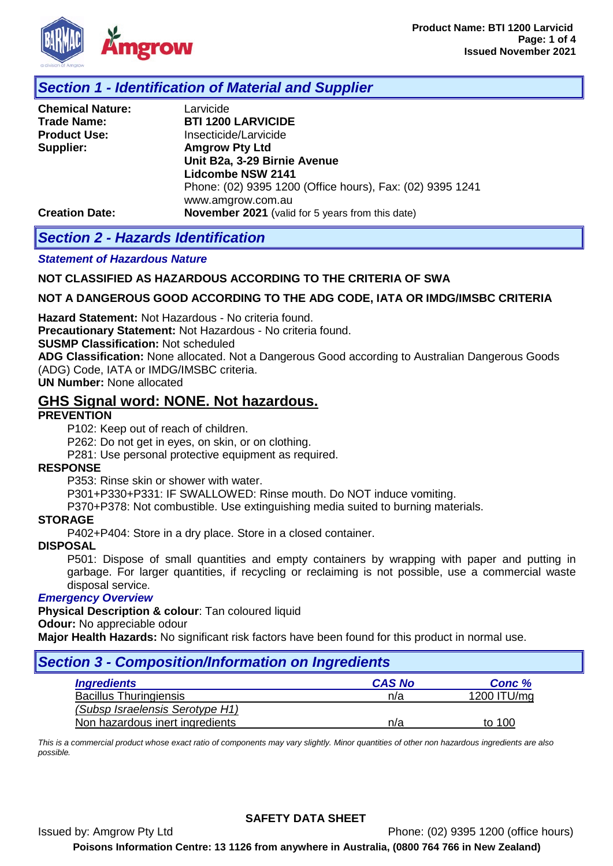

## *Section 1 - Identification of Material and Supplier*

| <b>Chemical Nature:</b> | Larvicide                                                 |
|-------------------------|-----------------------------------------------------------|
| <b>Trade Name:</b>      | <b>BTI 1200 LARVICIDE</b>                                 |
| <b>Product Use:</b>     | Insecticide/Larvicide                                     |
| Supplier:               | <b>Amgrow Pty Ltd</b>                                     |
|                         | Unit B2a, 3-29 Birnie Avenue                              |
|                         | <b>Lidcombe NSW 2141</b>                                  |
|                         | Phone: (02) 9395 1200 (Office hours), Fax: (02) 9395 1241 |
|                         | www.amgrow.com.au                                         |
| <b>Creation Date:</b>   | <b>November 2021</b> (valid for 5 years from this date)   |

## *Section 2 - Hazards Identification*

#### *Statement of Hazardous Nature*

#### **NOT CLASSIFIED AS HAZARDOUS ACCORDING TO THE CRITERIA OF SWA**

#### **NOT A DANGEROUS GOOD ACCORDING TO THE ADG CODE, IATA OR IMDG/IMSBC CRITERIA**

**Hazard Statement:** Not Hazardous - No criteria found.

**Precautionary Statement:** Not Hazardous - No criteria found.

**SUSMP Classification:** Not scheduled

**ADG Classification:** None allocated. Not a Dangerous Good according to Australian Dangerous Goods (ADG) Code, IATA or IMDG/IMSBC criteria.

**UN Number:** None allocated

## **GHS Signal word: NONE. Not hazardous.**

#### **PREVENTION**

P102: Keep out of reach of children.

P262: Do not get in eyes, on skin, or on clothing.

P281: Use personal protective equipment as required.

#### **RESPONSE**

P353: Rinse skin or shower with water.

P301+P330+P331: IF SWALLOWED: Rinse mouth. Do NOT induce vomiting.

P370+P378: Not combustible. Use extinguishing media suited to burning materials.

#### **STORAGE**

P402+P404: Store in a dry place. Store in a closed container.

#### **DISPOSAL**

P501: Dispose of small quantities and empty containers by wrapping with paper and putting in garbage. For larger quantities, if recycling or reclaiming is not possible, use a commercial waste disposal service.

#### *Emergency Overview*

**Physical Description & colour**: Tan coloured liquid

**Odour:** No appreciable odour

**Major Health Hazards:** No significant risk factors have been found for this product in normal use.

## *Section 3 - Composition/Information on Ingredients*

| <b>Ingredients</b>              | <b>CAS No</b> | Conc %      |
|---------------------------------|---------------|-------------|
| <b>Bacillus Thuringiensis</b>   | n/a           | 1200 ITU/mg |
| (Subsp Israelensis Serotype H1) |               |             |
| Non hazardous inert ingredients | n/a           | to 100      |

*This is a commercial product whose exact ratio of components may vary slightly. Minor quantities of other non hazardous ingredients are also possible.*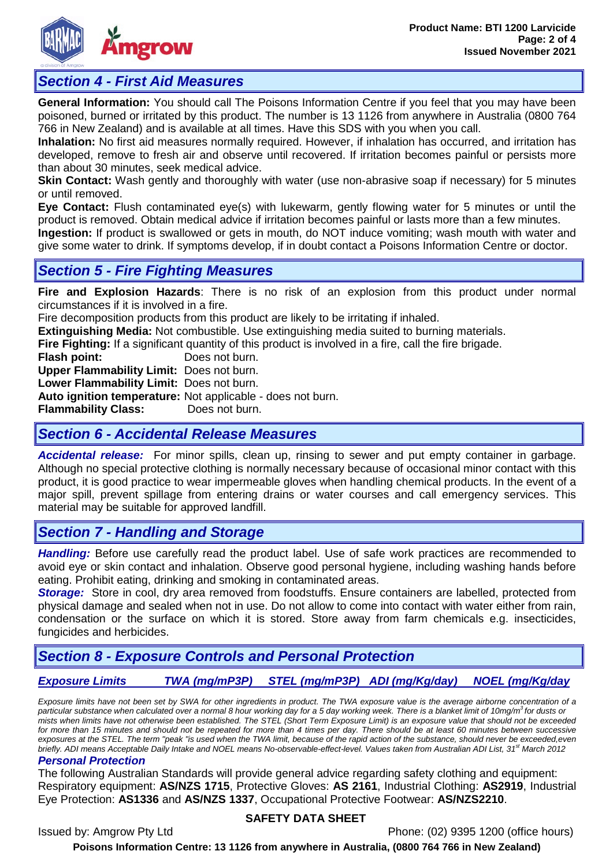

## *Section 4 - First Aid Measures*

**General Information:** You should call The Poisons Information Centre if you feel that you may have been poisoned, burned or irritated by this product. The number is 13 1126 from anywhere in Australia (0800 764 766 in New Zealand) and is available at all times. Have this SDS with you when you call.

**Inhalation:** No first aid measures normally required. However, if inhalation has occurred, and irritation has developed, remove to fresh air and observe until recovered. If irritation becomes painful or persists more than about 30 minutes, seek medical advice.

**Skin Contact:** Wash gently and thoroughly with water (use non-abrasive soap if necessary) for 5 minutes or until removed.

**Eye Contact:** Flush contaminated eye(s) with lukewarm, gently flowing water for 5 minutes or until the product is removed. Obtain medical advice if irritation becomes painful or lasts more than a few minutes.

**Ingestion:** If product is swallowed or gets in mouth, do NOT induce vomiting; wash mouth with water and give some water to drink. If symptoms develop, if in doubt contact a Poisons Information Centre or doctor.

## *Section 5 - Fire Fighting Measures*

**Fire and Explosion Hazards**: There is no risk of an explosion from this product under normal circumstances if it is involved in a fire.

Fire decomposition products from this product are likely to be irritating if inhaled.

**Extinguishing Media:** Not combustible. Use extinguishing media suited to burning materials.

**Fire Fighting:** If a significant quantity of this product is involved in a fire, call the fire brigade.<br>**Flash point:** Does not burn.

Does not burn.

**Upper Flammability Limit:** Does not burn.

**Lower Flammability Limit:** Does not burn.

**Auto ignition temperature:** Not applicable - does not burn.

**Flammability Class:** Does not burn.

## *Section 6 - Accidental Release Measures*

*Accidental release:* For minor spills, clean up, rinsing to sewer and put empty container in garbage. Although no special protective clothing is normally necessary because of occasional minor contact with this product, it is good practice to wear impermeable gloves when handling chemical products. In the event of a major spill, prevent spillage from entering drains or water courses and call emergency services. This material may be suitable for approved landfill.

# *Section 7 - Handling and Storage*

*Handling:* Before use carefully read the product label. Use of safe work practices are recommended to avoid eye or skin contact and inhalation. Observe good personal hygiene, including washing hands before eating. Prohibit eating, drinking and smoking in contaminated areas.

**Storage:** Store in cool, dry area removed from foodstuffs. Ensure containers are labelled, protected from physical damage and sealed when not in use. Do not allow to come into contact with water either from rain, condensation or the surface on which it is stored. Store away from farm chemicals e.g. insecticides, fungicides and herbicides.

# *Section 8 - Exposure Controls and Personal Protection*

*Exposure Limits TWA (mg/mP3P) STEL (mg/mP3P) ADI (mg/Kg/day) NOEL (mg/Kg/day*

*Exposure limits have not been set by SWA for other ingredients in product. The TWA exposure value is the average airborne concentration of a particular substance when calculated over a normal 8 hour working day for a 5 day working week. There is a blanket limit of 10mg/m3 for dusts or mists when limits have not otherwise been established. The STEL (Short Term Exposure Limit) is an exposure value that should not be exceeded*  for more than 15 minutes and should not be repeated for more than 4 times per day. There should be at least 60 minutes between successive *exposures at the STEL. The term "peak "is used when the TWA limit, because of the rapid action of the substance, should never be exceeded,even briefly. ADI means Acceptable Daily Intake and NOEL means No-observable-effect-level. Values taken from Australian ADI List, 31<sup>st</sup> March 2012* 

#### *Personal Protection*

The following Australian Standards will provide general advice regarding safety clothing and equipment: Respiratory equipment: **AS/NZS 1715**, Protective Gloves: **AS 2161**, Industrial Clothing: **AS2919**, Industrial Eye Protection: **AS1336** and **AS/NZS 1337**, Occupational Protective Footwear: **AS/NZS2210**.

#### **SAFETY DATA SHEET**

Issued by: Amgrow Pty Ltd Phone: (02) 9395 1200 (office hours)

**Poisons Information Centre: 13 1126 from anywhere in Australia, (0800 764 766 in New Zealand)**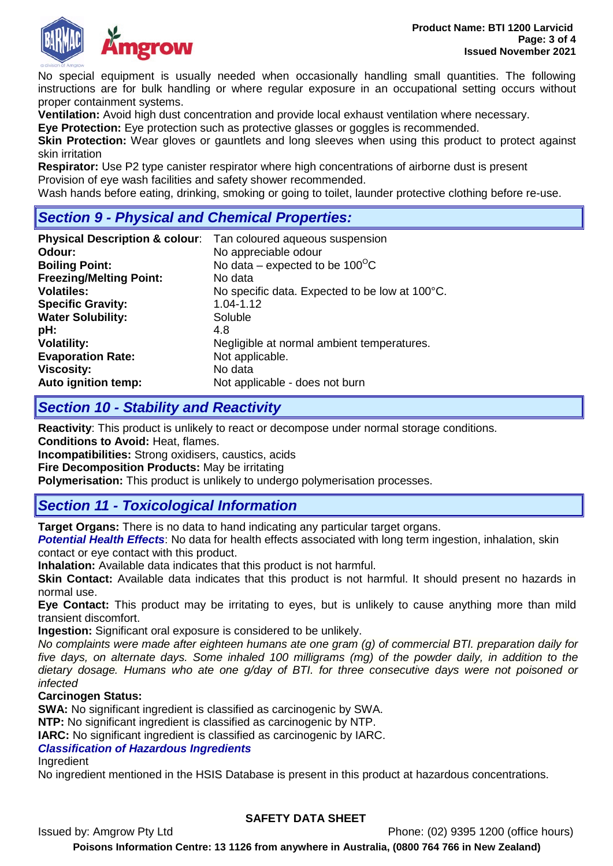

No special equipment is usually needed when occasionally handling small quantities. The following instructions are for bulk handling or where regular exposure in an occupational setting occurs without proper containment systems.

**Ventilation:** Avoid high dust concentration and provide local exhaust ventilation where necessary.

**Eye Protection:** Eye protection such as protective glasses or goggles is recommended.

**Skin Protection:** Wear gloves or gauntlets and long sleeves when using this product to protect against skin irritation

**Respirator:** Use P2 type canister respirator where high concentrations of airborne dust is present Provision of eye wash facilities and safety shower recommended.

Wash hands before eating, drinking, smoking or going to toilet, launder protective clothing before re-use.

## *Section 9 - Physical and Chemical Properties:*

|                                | <b>Physical Description &amp; colour:</b> Tan coloured aqueous suspension |
|--------------------------------|---------------------------------------------------------------------------|
| Odour:                         | No appreciable odour                                                      |
| <b>Boiling Point:</b>          | No data – expected to be $100^{\circ}$ C                                  |
| <b>Freezing/Melting Point:</b> | No data                                                                   |
| <b>Volatiles:</b>              | No specific data. Expected to be low at 100°C.                            |
| <b>Specific Gravity:</b>       | 1.04-1.12                                                                 |
| <b>Water Solubility:</b>       | Soluble                                                                   |
| pH:                            | 4.8                                                                       |
| <b>Volatility:</b>             | Negligible at normal ambient temperatures.                                |
| <b>Evaporation Rate:</b>       | Not applicable.                                                           |
| <b>Viscosity:</b>              | No data                                                                   |
| Auto ignition temp:            | Not applicable - does not burn                                            |

## *Section 10 - Stability and Reactivity*

**Reactivity**: This product is unlikely to react or decompose under normal storage conditions.

**Conditions to Avoid:** Heat, flames.

**Incompatibilities:** Strong oxidisers, caustics, acids

**Fire Decomposition Products:** May be irritating

**Polymerisation:** This product is unlikely to undergo polymerisation processes.

# *Section 11 - Toxicological Information*

**Target Organs:** There is no data to hand indicating any particular target organs.

*Potential Health Effects*: No data for health effects associated with long term ingestion, inhalation, skin contact or eye contact with this product.

**Inhalation:** Available data indicates that this product is not harmful.

**Skin Contact:** Available data indicates that this product is not harmful. It should present no hazards in normal use.

**Eye Contact:** This product may be irritating to eyes, but is unlikely to cause anything more than mild transient discomfort.

**Ingestion:** Significant oral exposure is considered to be unlikely.

*No complaints were made after eighteen humans ate one gram (g) of commercial BTI. preparation daily for five days, on alternate days. Some inhaled 100 milligrams (mg) of the powder daily, in addition to the dietary dosage. Humans who ate one g/day of BTI. for three consecutive days were not poisoned or infected*

#### **Carcinogen Status:**

**SWA:** No significant ingredient is classified as carcinogenic by SWA.

**NTP:** No significant ingredient is classified as carcinogenic by NTP.

**IARC:** No significant ingredient is classified as carcinogenic by IARC.

### *Classification of Hazardous Ingredients*

Ingredient

No ingredient mentioned in the HSIS Database is present in this product at hazardous concentrations.

## **SAFETY DATA SHEET**

Issued by: Amgrow Pty Ltd Phone: (02) 9395 1200 (office hours) **Poisons Information Centre: 13 1126 from anywhere in Australia, (0800 764 766 in New Zealand)**